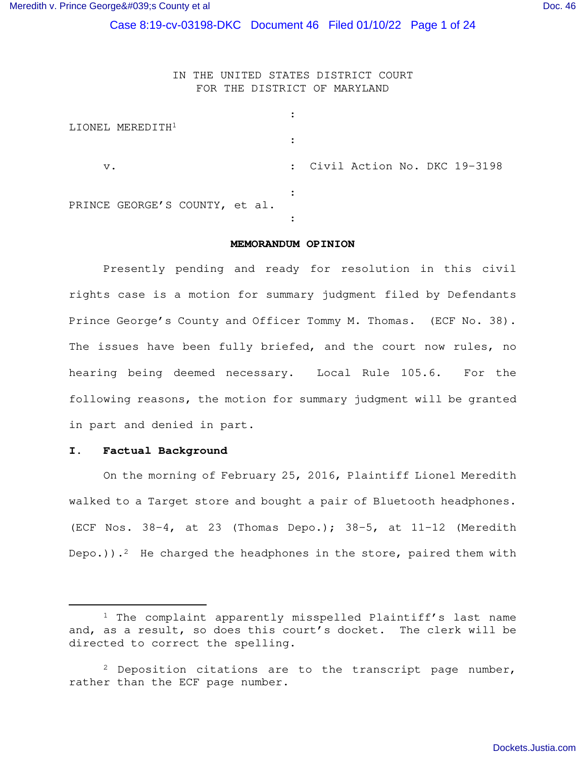Case 8:19-cv-03198-DKC Document 46 Filed 01/10/22 Page 1 of 24

# IN THE UNITED STATES DISTRICT COURT FOR THE DISTRICT OF MARYLAND

| LIONEL MEREDITH <sup>1</sup>   |                                |
|--------------------------------|--------------------------------|
|                                |                                |
| $V$ .                          | : Civil Action No. DKC 19-3198 |
| PRINCE GEORGE'S COUNTY, et al. |                                |
|                                |                                |

#### **MEMORANDUM OPINION**

Presently pending and ready for resolution in this civil rights case is a motion for summary judgment filed by Defendants Prince George's County and Officer Tommy M. Thomas. (ECF No. 38). The issues have been fully briefed, and the court now rules, no hearing being deemed necessary. Local Rule 105.6. For the following reasons, the motion for summary judgment will be granted in part and denied in part.

### **I. Factual Background**

On the morning of February 25, 2016, Plaintiff Lionel Meredith walked to a Target store and bought a pair of Bluetooth headphones. (ECF Nos. 38-4, at 23 (Thomas Depo.); 38-5, at 11-12 (Meredith Depo.)).<sup>2</sup> He charged the headphones in the store, paired them with

<sup>&</sup>lt;sup>1</sup> The complaint apparently misspelled Plaintiff's last name and, as a result, so does this court's docket. The clerk will be directed to correct the spelling.

 $2$  Deposition citations are to the transcript page number, rather than the ECF page number.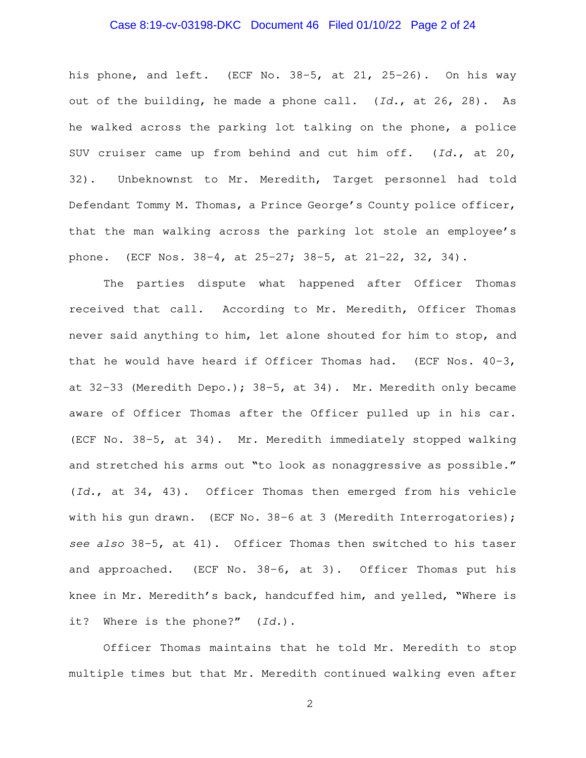## Case 8:19-cv-03198-DKC Document 46 Filed 01/10/22 Page 2 of 24

his phone, and left. (ECF No. 38-5, at 21, 25-26). On his way out of the building, he made a phone call. (Id., at 26, 28). As he walked across the parking lot talking on the phone, a police SUV cruiser came up from behind and cut him off. (Id., at 20, 32). Unbeknownst to Mr. Meredith, Target personnel had told Defendant Tommy M. Thomas, a Prince George's County police officer, that the man walking across the parking lot stole an employee's phone. (ECF Nos. 38-4, at 25-27; 38-5, at 21-22, 32, 34).

The parties dispute what happened after Officer Thomas received that call. According to Mr. Meredith, Officer Thomas never said anything to him, let alone shouted for him to stop, and that he would have heard if Officer Thomas had. (ECF Nos.  $40-3$ , at 32-33 (Meredith Depo.); 38-5, at 34). Mr. Meredith only became aware of Officer Thomas after the Officer pulled up in his car. (ECF No. 38-5, at 34). Mr. Meredith immediately stopped walking and stretched his arms out "to look as nonaggressive as possible." (Id., at 34, 43). Officer Thomas then emerged from his vehicle with his gun drawn. (ECF No. 38-6 at 3 (Meredith Interrogatories); see also 38-5, at 41). Officer Thomas then switched to his taser and approached. (ECF No. 38-6, at 3). Officer Thomas put his knee in Mr. Meredith's back, handcuffed him, and yelled, "Where is it? Where is the phone?" (Id.).

Officer Thomas maintains that he told Mr. Meredith to stop multiple times but that Mr. Meredith continued walking even after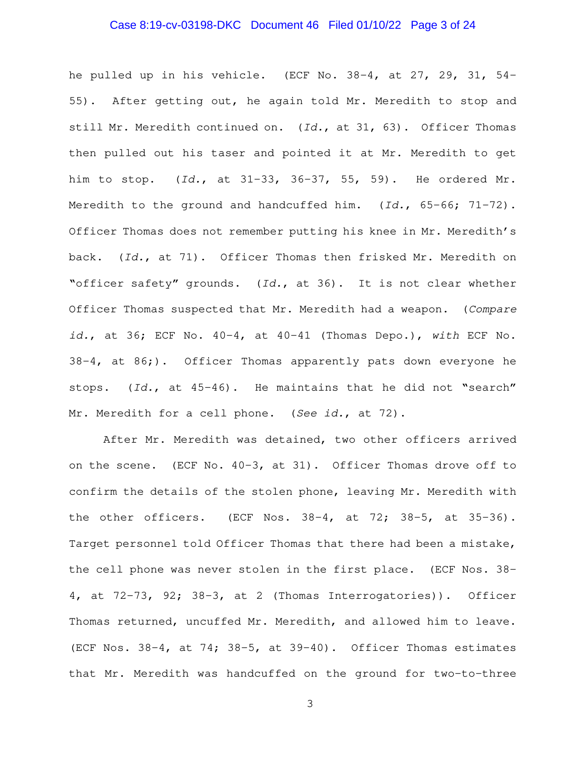## Case 8:19-cv-03198-DKC Document 46 Filed 01/10/22 Page 3 of 24

he pulled up in his vehicle. (ECF No. 38-4, at 27, 29, 31, 54- 55). After getting out, he again told Mr. Meredith to stop and still Mr. Meredith continued on. (Id., at 31, 63). Officer Thomas then pulled out his taser and pointed it at Mr. Meredith to get him to stop. (Id., at 31-33, 36-37, 55, 59). He ordered Mr. Meredith to the ground and handcuffed him. (Id., 65-66; 71-72). Officer Thomas does not remember putting his knee in Mr. Meredith's back. (Id., at 71). Officer Thomas then frisked Mr. Meredith on "officer safety" grounds. (Id., at 36). It is not clear whether Officer Thomas suspected that Mr. Meredith had a weapon. (Compare id., at 36; ECF No.  $40-4$ , at  $40-41$  (Thomas Depo.), with ECF No.  $38-4$ , at  $86$ ;). Officer Thomas apparently pats down everyone he stops. (Id., at 45-46). He maintains that he did not "search" Mr. Meredith for a cell phone. (See id., at 72).

After Mr. Meredith was detained, two other officers arrived on the scene. (ECF No. 40-3, at 31). Officer Thomas drove off to confirm the details of the stolen phone, leaving Mr. Meredith with the other officers. (ECF Nos. 38-4, at 72; 38-5, at 35-36). Target personnel told Officer Thomas that there had been a mistake, the cell phone was never stolen in the first place. (ECF Nos. 38- 4, at 72-73, 92; 38-3, at 2 (Thomas Interrogatories)). Officer Thomas returned, uncuffed Mr. Meredith, and allowed him to leave. (ECF Nos. 38-4, at 74; 38-5, at 39-40). Officer Thomas estimates that Mr. Meredith was handcuffed on the ground for two-to-three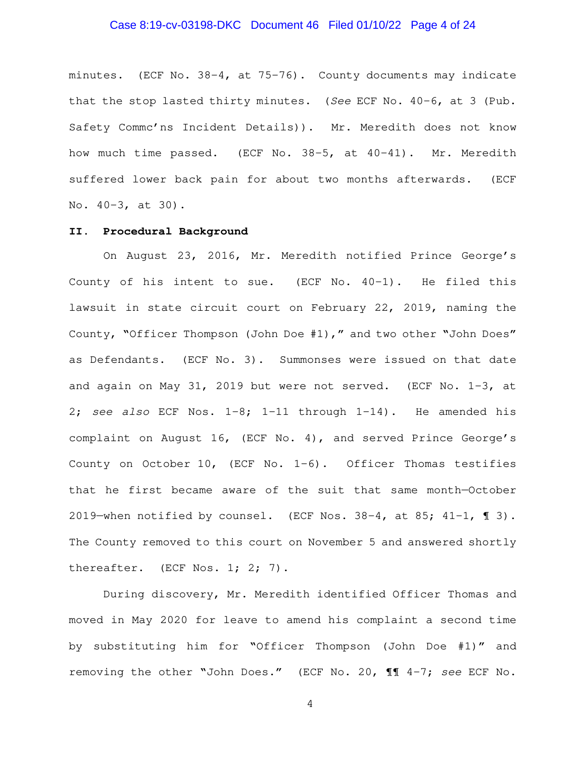## Case 8:19-cv-03198-DKC Document 46 Filed 01/10/22 Page 4 of 24

minutes. (ECF No. 38-4, at 75-76). County documents may indicate that the stop lasted thirty minutes. (See ECF No. 40-6, at 3 (Pub. Safety Commc'ns Incident Details)). Mr. Meredith does not know how much time passed. (ECF No. 38-5, at 40-41). Mr. Meredith suffered lower back pain for about two months afterwards. (ECF No. 40-3, at 30).

## **II. Procedural Background**

On August 23, 2016, Mr. Meredith notified Prince George's County of his intent to sue. (ECF No. 40-1). He filed this lawsuit in state circuit court on February 22, 2019, naming the County, "Officer Thompson (John Doe #1)," and two other "John Does" as Defendants. (ECF No. 3). Summonses were issued on that date and again on May 31, 2019 but were not served. (ECF No. 1-3, at 2; see also ECF Nos.  $1-8$ ;  $1-11$  through  $1-14$ ). He amended his complaint on August 16, (ECF No. 4), and served Prince George's County on October 10, (ECF No. 1-6). Officer Thomas testifies that he first became aware of the suit that same month—October 2019—when notified by counsel. (ECF Nos. 38-4, at 85; 41-1, ¶ 3). The County removed to this court on November 5 and answered shortly thereafter. (ECF Nos. 1; 2; 7).

During discovery, Mr. Meredith identified Officer Thomas and moved in May 2020 for leave to amend his complaint a second time by substituting him for "Officer Thompson (John Doe #1)" and removing the other "John Does." (ECF No. 20, ¶¶ 4-7; see ECF No.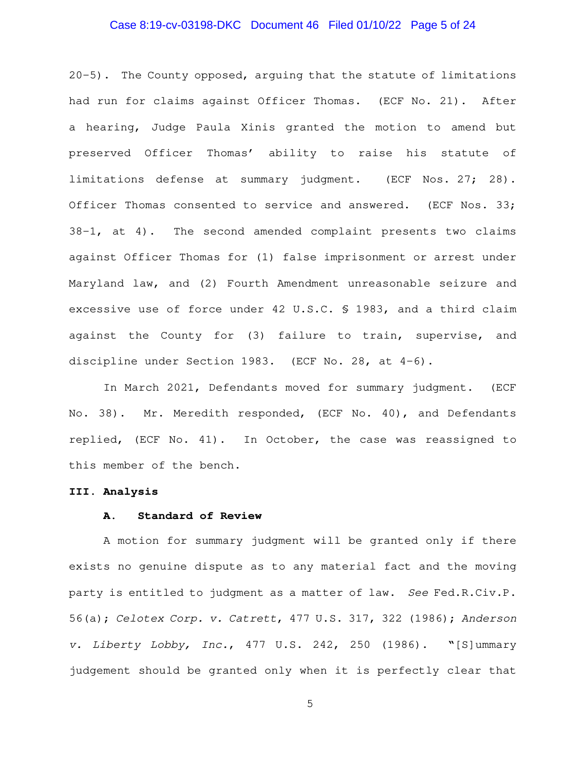## Case 8:19-cv-03198-DKC Document 46 Filed 01/10/22 Page 5 of 24

20-5). The County opposed, arguing that the statute of limitations had run for claims against Officer Thomas. (ECF No. 21). After a hearing, Judge Paula Xinis granted the motion to amend but preserved Officer Thomas' ability to raise his statute of limitations defense at summary judgment. (ECF Nos. 27; 28). Officer Thomas consented to service and answered. (ECF Nos. 33; 38-1, at 4). The second amended complaint presents two claims against Officer Thomas for (1) false imprisonment or arrest under Maryland law, and (2) Fourth Amendment unreasonable seizure and excessive use of force under 42 U.S.C. § 1983, and a third claim against the County for (3) failure to train, supervise, and discipline under Section 1983. (ECF No. 28, at 4-6).

In March 2021, Defendants moved for summary judgment. (ECF No. 38). Mr. Meredith responded, (ECF No. 40), and Defendants replied, (ECF No. 41). In October, the case was reassigned to this member of the bench.

### **III. Analysis**

# **A. Standard of Review**

A motion for summary judgment will be granted only if there exists no genuine dispute as to any material fact and the moving party is entitled to judgment as a matter of law. See Fed.R.Civ.P. 56(a); Celotex Corp. v. Catrett, 477 U.S. 317, 322 (1986); Anderson v. Liberty Lobby, Inc., 477 U.S. 242, 250 (1986). "[S]ummary judgement should be granted only when it is perfectly clear that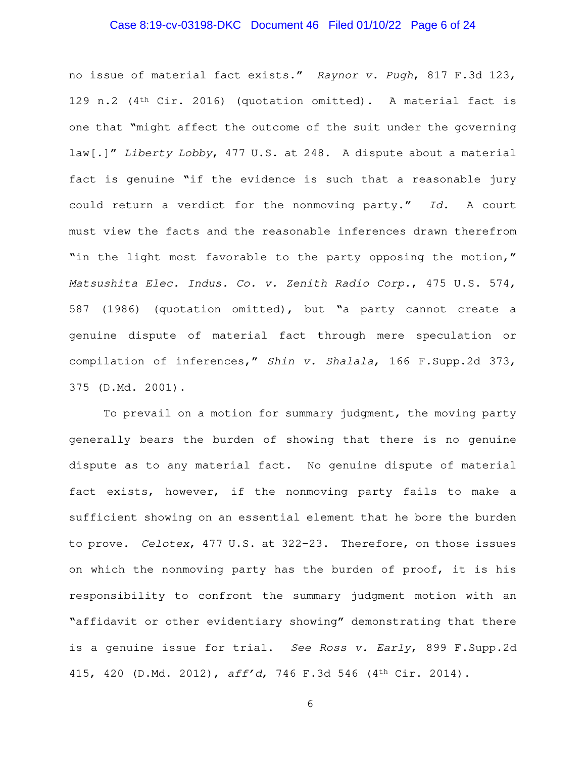## Case 8:19-cv-03198-DKC Document 46 Filed 01/10/22 Page 6 of 24

no issue of material fact exists." Raynor v. Pugh, 817 F.3d 123, 129 n.2  $(4<sup>th</sup> Cir. 2016)$  (quotation omitted). A material fact is one that "might affect the outcome of the suit under the governing law[.]" Liberty Lobby, 477 U.S. at 248. A dispute about a material fact is genuine "if the evidence is such that a reasonable jury could return a verdict for the nonmoving party." Id. A court must view the facts and the reasonable inferences drawn therefrom "in the light most favorable to the party opposing the motion," Matsushita Elec. Indus. Co. v. Zenith Radio Corp., 475 U.S. 574, 587 (1986) (quotation omitted), but "a party cannot create a genuine dispute of material fact through mere speculation or compilation of inferences," Shin v. Shalala, 166 F.Supp.2d 373, 375 (D.Md. 2001).

To prevail on a motion for summary judgment, the moving party generally bears the burden of showing that there is no genuine dispute as to any material fact. No genuine dispute of material fact exists, however, if the nonmoving party fails to make a sufficient showing on an essential element that he bore the burden to prove. Celotex, 477 U.S. at 322–23. Therefore, on those issues on which the nonmoving party has the burden of proof, it is his responsibility to confront the summary judgment motion with an "affidavit or other evidentiary showing" demonstrating that there is a genuine issue for trial. See Ross v. Early, 899 F. Supp.2d 415, 420 (D.Md. 2012), aff'd, 746 F.3d 546 (4th Cir. 2014).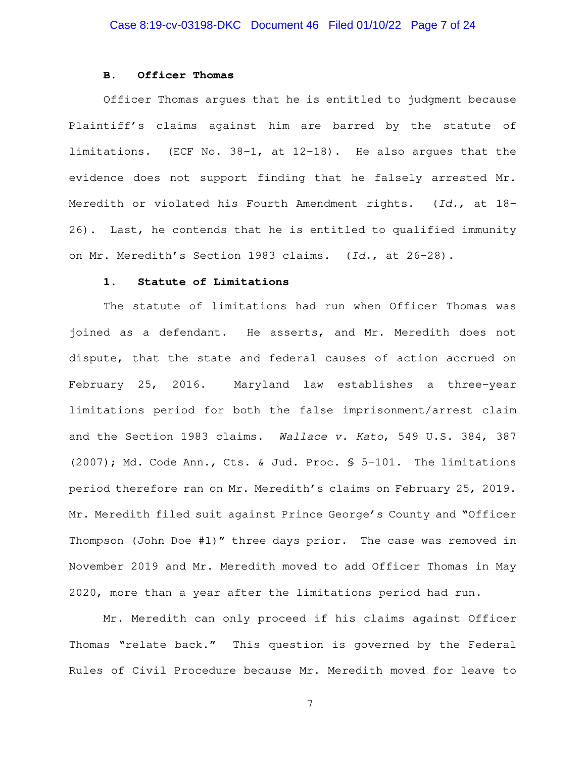### **B. Officer Thomas**

Officer Thomas argues that he is entitled to judgment because Plaintiff's claims against him are barred by the statute of limitations. (ECF No. 38-1, at 12-18). He also argues that the evidence does not support finding that he falsely arrested Mr. Meredith or violated his Fourth Amendment rights. (Id., at 18-26). Last, he contends that he is entitled to qualified immunity on Mr. Meredith's Section 1983 claims. (Id., at 26-28).

## **1. Statute of Limitations**

The statute of limitations had run when Officer Thomas was joined as a defendant. He asserts, and Mr. Meredith does not dispute, that the state and federal causes of action accrued on February 25, 2016. Maryland law establishes a three-year limitations period for both the false imprisonment/arrest claim and the Section 1983 claims. Wallace v. Kato, 549 U.S. 384, 387 (2007); Md. Code Ann., Cts. & Jud. Proc. § 5-101. The limitations period therefore ran on Mr. Meredith's claims on February 25, 2019. Mr. Meredith filed suit against Prince George's County and "Officer Thompson (John Doe #1)" three days prior. The case was removed in November 2019 and Mr. Meredith moved to add Officer Thomas in May 2020, more than a year after the limitations period had run.

Mr. Meredith can only proceed if his claims against Officer Thomas "relate back." This question is governed by the Federal Rules of Civil Procedure because Mr. Meredith moved for leave to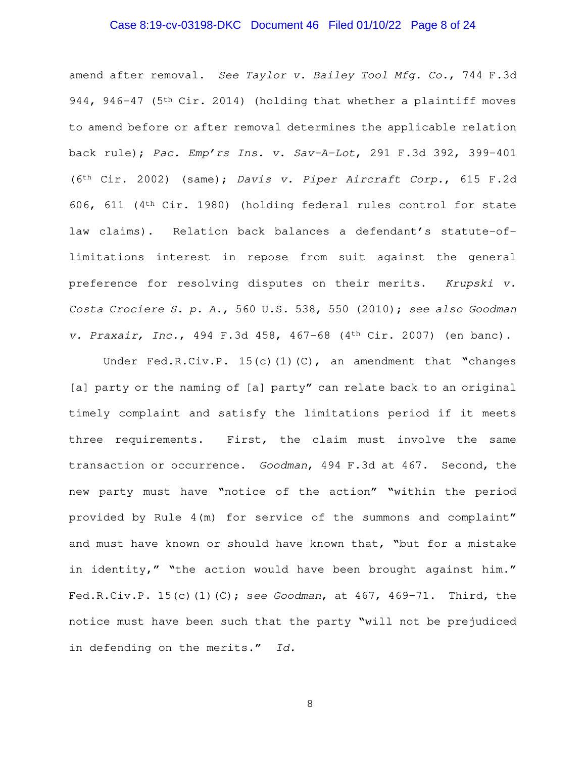## Case 8:19-cv-03198-DKC Document 46 Filed 01/10/22 Page 8 of 24

amend after removal. See Taylor v. Bailey Tool Mfg. Co., 744 F.3d 944, 946-47 ( $5<sup>th</sup> Cir. 2014$ ) (holding that whether a plaintiff moves to amend before or after removal determines the applicable relation back rule); Pac. Emp'rs Ins. v. Sav-A-Lot, 291 F.3d 392, 399-401 ( $6<sup>th</sup> Cir. 2002$ ) (same); Davis v. Piper Aircraft Corp., 615 F.2d 606, 611 (4th Cir. 1980) (holding federal rules control for state law claims). Relation back balances a defendant's statute-oflimitations interest in repose from suit against the general preference for resolving disputes on their merits. Krupski v. Costa Crociere S. p. A., 560 U.S. 538, 550 (2010); see also Goodman v. Praxair, Inc., 494 F.3d 458, 467-68 (4th Cir. 2007) (en banc).

Under Fed.R.Civ.P. 15(c)(1)(C), an amendment that "changes [a] party or the naming of [a] party" can relate back to an original timely complaint and satisfy the limitations period if it meets three requirements. First, the claim must involve the same transaction or occurrence. Goodman, 494 F.3d at 467. Second, the new party must have "notice of the action" "within the period provided by Rule 4(m) for service of the summons and complaint" and must have known or should have known that, "but for a mistake in identity," "the action would have been brought against him." Fed.R.Civ.P.  $15(c)$ (1)(C); see Goodman, at 467, 469-71. Third, the notice must have been such that the party "will not be prejudiced in defending on the merits." Id.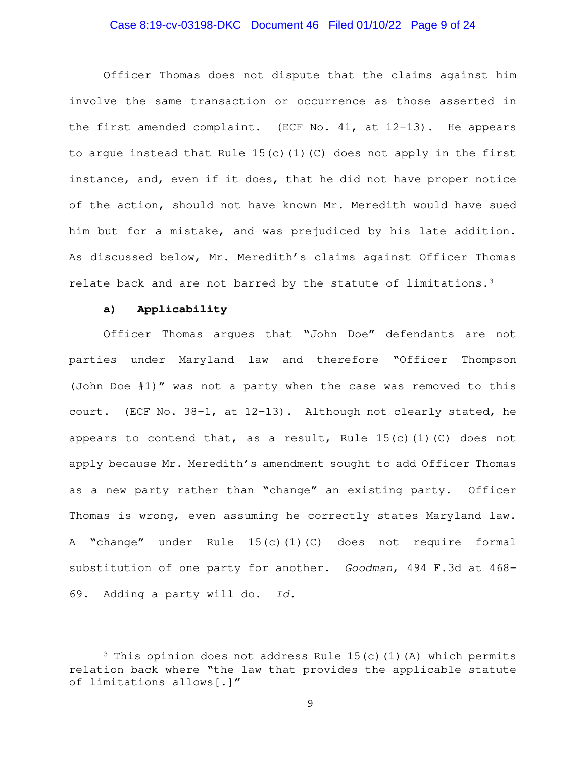## Case 8:19-cv-03198-DKC Document 46 Filed 01/10/22 Page 9 of 24

Officer Thomas does not dispute that the claims against him involve the same transaction or occurrence as those asserted in the first amended complaint. (ECF No. 41, at 12-13). He appears to argue instead that Rule 15(c)(1)(C) does not apply in the first instance, and, even if it does, that he did not have proper notice of the action, should not have known Mr. Meredith would have sued him but for a mistake, and was prejudiced by his late addition. As discussed below, Mr. Meredith's claims against Officer Thomas relate back and are not barred by the statute of limitations.<sup>3</sup>

### **a) Applicability**

Officer Thomas argues that "John Doe" defendants are not parties under Maryland law and therefore "Officer Thompson (John Doe #1)" was not a party when the case was removed to this court. (ECF No. 38-1, at 12-13). Although not clearly stated, he appears to contend that, as a result, Rule  $15(c)$  (1)(C) does not apply because Mr. Meredith's amendment sought to add Officer Thomas as a new party rather than "change" an existing party. Officer Thomas is wrong, even assuming he correctly states Maryland law. A "change" under Rule 15(c)(1)(C) does not require formal substitution of one party for another. Goodman, 494 F.3d at 468- 69. Adding a party will do. Id.

<sup>&</sup>lt;sup>3</sup> This opinion does not address Rule  $15(c)$  (1)(A) which permits relation back where "the law that provides the applicable statute of limitations allows[.]"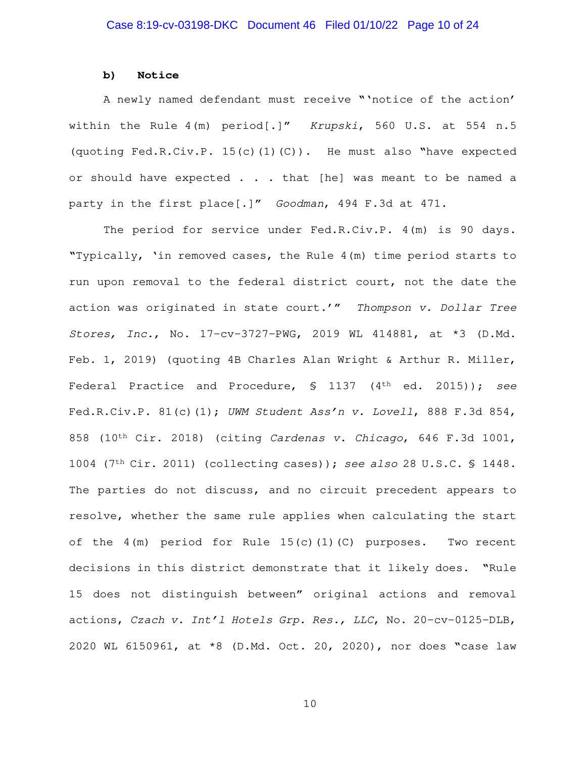#### **b) Notice**

A newly named defendant must receive "'notice of the action' within the Rule 4(m) period[.]" Krupski, 560 U.S. at 554 n.5 (quoting Fed.R.Civ.P. 15(c)(1)(C)). He must also "have expected or should have expected . . . that [he] was meant to be named a party in the first place[.]" Goodman, 494 F.3d at 471.

The period for service under Fed.R.Civ.P. 4(m) is 90 days. "Typically, 'in removed cases, the Rule 4(m) time period starts to run upon removal to the federal district court, not the date the action was originated in state court.'" Thompson v. Dollar Tree Stores, Inc., No. 17-cv-3727-PWG, 2019 WL 414881, at \*3 (D.Md. Feb. 1, 2019) (quoting 4B Charles Alan Wright & Arthur R. Miller, Federal Practice and Procedure, § 1137 (4<sup>th</sup> ed. 2015)); see Fed.R.Civ.P. 81(c)(1); UWM Student Ass'n v. Lovell, 888 F.3d 854, 858 (10th Cir. 2018) (citing Cardenas v. Chicago, 646 F.3d 1001, 1004 (7th Cir. 2011) (collecting cases)); see also 28 U.S.C. § 1448. The parties do not discuss, and no circuit precedent appears to resolve, whether the same rule applies when calculating the start of the  $4(m)$  period for Rule  $15(c)(1)(C)$  purposes. Two recent decisions in this district demonstrate that it likely does. "Rule 15 does not distinguish between" original actions and removal actions, Czach v. Int'l Hotels Grp. Res., LLC, No. 20-cv-0125-DLB, 2020 WL 6150961, at \*8 (D.Md. Oct. 20, 2020), nor does "case law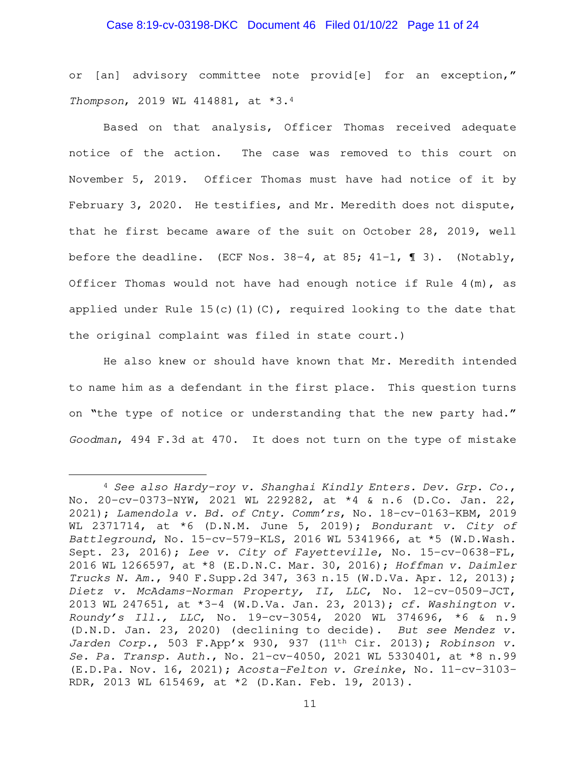## Case 8:19-cv-03198-DKC Document 46 Filed 01/10/22 Page 11 of 24

or [an] advisory committee note provid[e] for an exception," Thompson, 2019 WL 414881, at \*3.<sup>4</sup>

Based on that analysis, Officer Thomas received adequate notice of the action. The case was removed to this court on November 5, 2019. Officer Thomas must have had notice of it by February 3, 2020. He testifies, and Mr. Meredith does not dispute, that he first became aware of the suit on October 28, 2019, well before the deadline. (ECF Nos.  $38-4$ , at 85;  $41-1$ ,  $\lll$  3). (Notably, Officer Thomas would not have had enough notice if Rule  $4(m)$ , as applied under Rule  $15(c)(1)(C)$ , required looking to the date that the original complaint was filed in state court.)

He also knew or should have known that Mr. Meredith intended to name him as a defendant in the first place. This question turns on "the type of notice or understanding that the new party had." Goodman, 494 F.3d at 470. It does not turn on the type of mistake

 $4$  See also Hardy-roy v. Shanghai Kindly Enters. Dev. Grp. Co., No. 20-cv-0373-NYW, 2021 WL 229282, at \*4 & n.6 (D.Co. Jan. 22, 2021); Lamendola v. Bd. of Cnty. Comm'rs, No. 18-cv-0163-KBM, 2019 WL 2371714, at  $*6$  (D.N.M. June 5, 2019); Bondurant v. City of Battleground, No. 15-cv-579-KLS, 2016 WL 5341966, at \*5 (W.D.Wash. Sept. 23, 2016); Lee v. City of Fayetteville, No. 15-cv-0638-FL, 2016 WL 1266597, at \*8 (E.D.N.C. Mar. 30, 2016); Hoffman v. Daimler Trucks N. Am., 940 F.Supp.2d 347, 363 n.15 (W.D.Va. Apr. 12, 2013); Dietz v. McAdams-Norman Property, II, LLC, No. 12-cv-0509-JCT, 2013 WL 247651, at \*3-4 (W.D.Va. Jan. 23, 2013); cf. Washington v. Roundy's Ill., LLC, No. 19-cv-3054, 2020 WL 374696, \*6 & n.9 (D.N.D. Jan. 23, 2020) (declining to decide). But see Mendez v. Jarden Corp., 503 F.App'x 930, 937 (11th Cir. 2013); Robinson v. Se. Pa. Transp. Auth., No. 21-cv-4050, 2021 WL 5330401, at \*8 n.99 (E.D.Pa. Nov. 16, 2021); Acosta-Felton v. Greinke, No. 11-cv-3103- RDR, 2013 WL 615469, at \*2 (D.Kan. Feb. 19, 2013).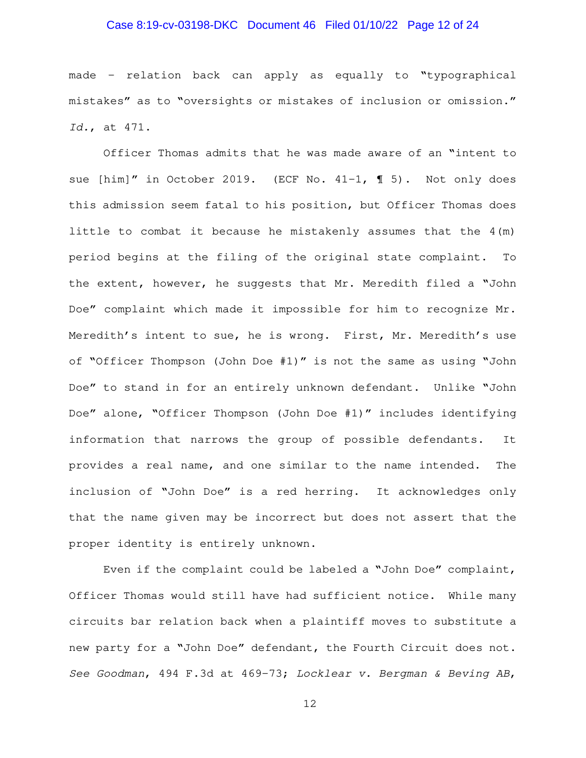## Case 8:19-cv-03198-DKC Document 46 Filed 01/10/22 Page 12 of 24

made – relation back can apply as equally to "typographical mistakes" as to "oversights or mistakes of inclusion or omission." Id., at 471.

Officer Thomas admits that he was made aware of an "intent to sue [him]" in October 2019. (ECF No. 41-1, 1 5). Not only does this admission seem fatal to his position, but Officer Thomas does little to combat it because he mistakenly assumes that the 4(m) period begins at the filing of the original state complaint. To the extent, however, he suggests that Mr. Meredith filed a "John Doe" complaint which made it impossible for him to recognize Mr. Meredith's intent to sue, he is wrong. First, Mr. Meredith's use of "Officer Thompson (John Doe #1)" is not the same as using "John Doe" to stand in for an entirely unknown defendant. Unlike "John Doe" alone, "Officer Thompson (John Doe #1)" includes identifying information that narrows the group of possible defendants. It provides a real name, and one similar to the name intended. The inclusion of "John Doe" is a red herring. It acknowledges only that the name given may be incorrect but does not assert that the proper identity is entirely unknown.

Even if the complaint could be labeled a "John Doe" complaint, Officer Thomas would still have had sufficient notice. While many circuits bar relation back when a plaintiff moves to substitute a new party for a "John Doe" defendant, the Fourth Circuit does not. See Goodman, 494 F.3d at 469-73; Locklear v. Bergman & Beving AB,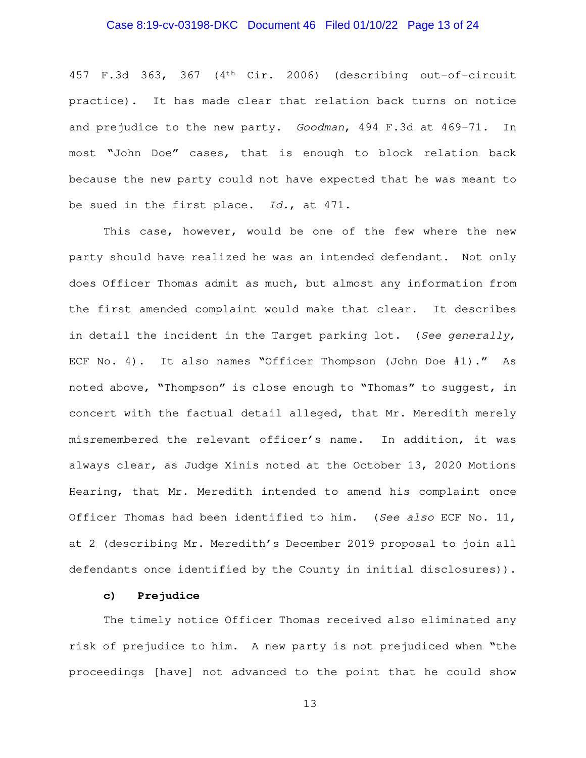## Case 8:19-cv-03198-DKC Document 46 Filed 01/10/22 Page 13 of 24

457 F.3d 363, 367 (4th Cir. 2006) (describing out-of-circuit practice). It has made clear that relation back turns on notice and prejudice to the new party. Goodman, 494 F.3d at 469-71. In most "John Doe" cases, that is enough to block relation back because the new party could not have expected that he was meant to be sued in the first place. Id., at 471.

This case, however, would be one of the few where the new party should have realized he was an intended defendant. Not only does Officer Thomas admit as much, but almost any information from the first amended complaint would make that clear. It describes in detail the incident in the Target parking lot. (See generally, ECF No. 4). It also names "Officer Thompson (John Doe #1)." As noted above, "Thompson" is close enough to "Thomas" to suggest, in concert with the factual detail alleged, that Mr. Meredith merely misremembered the relevant officer's name. In addition, it was always clear, as Judge Xinis noted at the October 13, 2020 Motions Hearing, that Mr. Meredith intended to amend his complaint once Officer Thomas had been identified to him. (See also ECF No. 11, at 2 (describing Mr. Meredith's December 2019 proposal to join all defendants once identified by the County in initial disclosures)).

## **c) Prejudice**

The timely notice Officer Thomas received also eliminated any risk of prejudice to him. A new party is not prejudiced when "the proceedings [have] not advanced to the point that he could show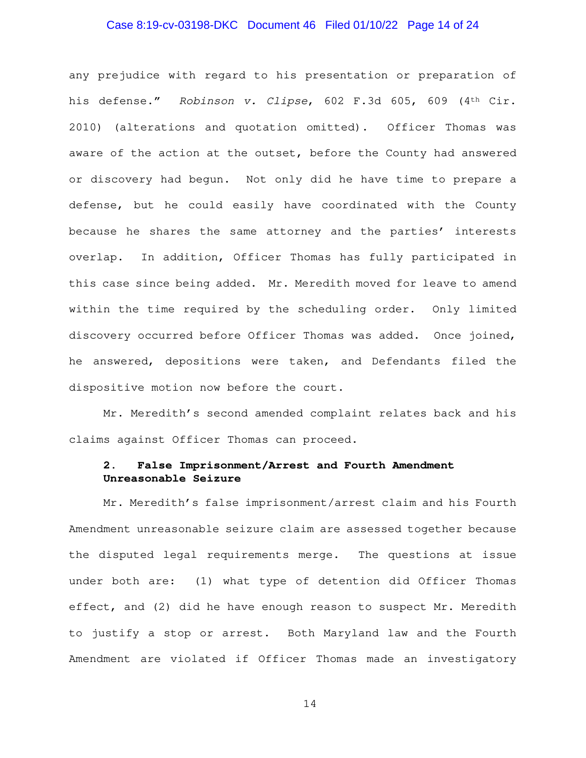## Case 8:19-cv-03198-DKC Document 46 Filed 01/10/22 Page 14 of 24

any prejudice with regard to his presentation or preparation of his defense." Robinson v. Clipse, 602 F.3d 605, 609 (4<sup>th</sup> Cir. 2010) (alterations and quotation omitted). Officer Thomas was aware of the action at the outset, before the County had answered or discovery had begun. Not only did he have time to prepare a defense, but he could easily have coordinated with the County because he shares the same attorney and the parties' interests overlap. In addition, Officer Thomas has fully participated in this case since being added. Mr. Meredith moved for leave to amend within the time required by the scheduling order. Only limited discovery occurred before Officer Thomas was added. Once joined, he answered, depositions were taken, and Defendants filed the dispositive motion now before the court.

Mr. Meredith's second amended complaint relates back and his claims against Officer Thomas can proceed.

# **2. False Imprisonment/Arrest and Fourth Amendment Unreasonable Seizure**

Mr. Meredith's false imprisonment/arrest claim and his Fourth Amendment unreasonable seizure claim are assessed together because the disputed legal requirements merge. The questions at issue under both are: (1) what type of detention did Officer Thomas effect, and (2) did he have enough reason to suspect Mr. Meredith to justify a stop or arrest. Both Maryland law and the Fourth Amendment are violated if Officer Thomas made an investigatory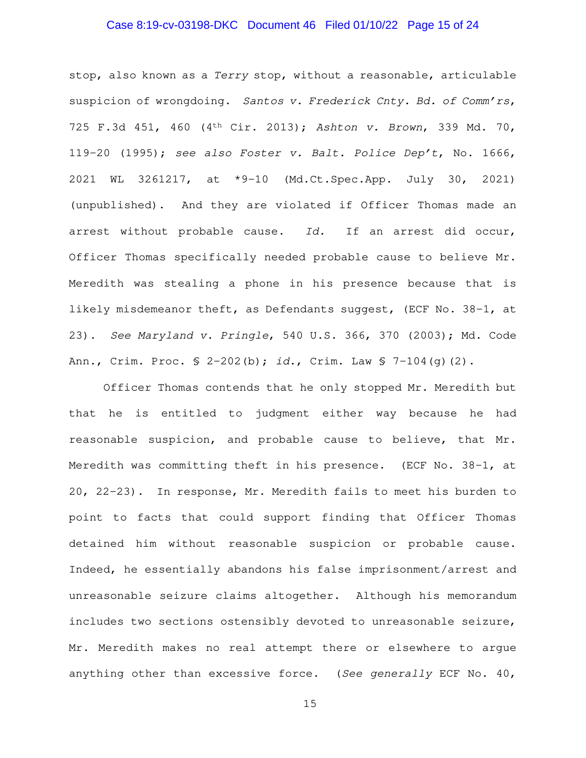## Case 8:19-cv-03198-DKC Document 46 Filed 01/10/22 Page 15 of 24

stop, also known as a Terry stop, without a reasonable, articulable suspicion of wrongdoing. Santos v. Frederick Cnty. Bd. of Comm'rs, 725 F.3d 451, 460 (4th Cir. 2013); Ashton v. Brown, 339 Md. 70, 119-20 (1995); see also Foster v. Balt. Police Dep't, No. 1666, 2021 WL 3261217, at \*9-10 (Md.Ct.Spec.App. July 30, 2021) (unpublished). And they are violated if Officer Thomas made an arrest without probable cause. Id. If an arrest did occur, Officer Thomas specifically needed probable cause to believe Mr. Meredith was stealing a phone in his presence because that is likely misdemeanor theft, as Defendants suggest, (ECF No. 38-1, at 23). See Maryland v. Pringle, 540 U.S. 366, 370 (2003); Md. Code Ann., Crim. Proc.  $S$  2-202(b); id., Crim. Law  $S$  7-104(q)(2).

Officer Thomas contends that he only stopped Mr. Meredith but that he is entitled to judgment either way because he had reasonable suspicion, and probable cause to believe, that Mr. Meredith was committing theft in his presence. (ECF No. 38-1, at 20, 22-23). In response, Mr. Meredith fails to meet his burden to point to facts that could support finding that Officer Thomas detained him without reasonable suspicion or probable cause. Indeed, he essentially abandons his false imprisonment/arrest and unreasonable seizure claims altogether. Although his memorandum includes two sections ostensibly devoted to unreasonable seizure, Mr. Meredith makes no real attempt there or elsewhere to argue anything other than excessive force. (See generally ECF No. 40,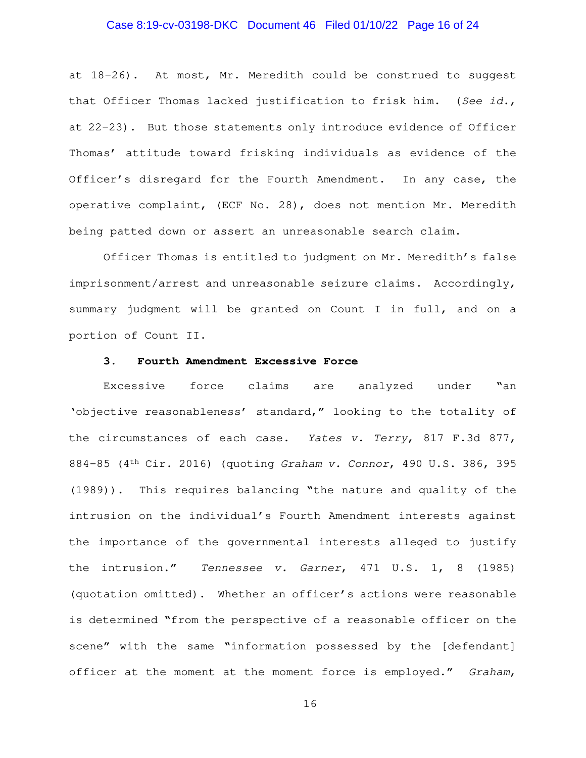## Case 8:19-cv-03198-DKC Document 46 Filed 01/10/22 Page 16 of 24

at 18-26). At most, Mr. Meredith could be construed to suggest that Officer Thomas lacked justification to frisk him. (See id., at 22-23). But those statements only introduce evidence of Officer Thomas' attitude toward frisking individuals as evidence of the Officer's disregard for the Fourth Amendment. In any case, the operative complaint, (ECF No. 28), does not mention Mr. Meredith being patted down or assert an unreasonable search claim.

Officer Thomas is entitled to judgment on Mr. Meredith's false imprisonment/arrest and unreasonable seizure claims. Accordingly, summary judgment will be granted on Count I in full, and on a portion of Count II.

### **3. Fourth Amendment Excessive Force**

Excessive force claims are analyzed under "an 'objective reasonableness' standard," looking to the totality of the circumstances of each case. Yates v. Terry, 817 F.3d 877, 884-85 (4th Cir. 2016) (quoting Graham v. Connor, 490 U.S. 386, 395 (1989)). This requires balancing "the nature and quality of the intrusion on the individual's Fourth Amendment interests against the importance of the governmental interests alleged to justify the intrusion." Tennessee v. Garner, 471 U.S. 1, 8 (1985) (quotation omitted). Whether an officer's actions were reasonable is determined "from the perspective of a reasonable officer on the scene" with the same "information possessed by the [defendant] officer at the moment at the moment force is employed." Graham,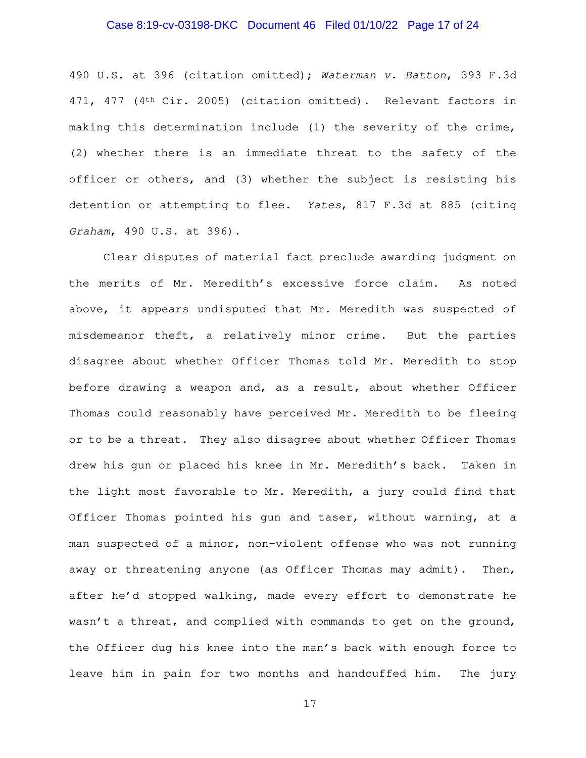## Case 8:19-cv-03198-DKC Document 46 Filed 01/10/22 Page 17 of 24

490 U.S. at 396 (citation omitted); Waterman v. Batton, 393 F.3d 471, 477 (4th Cir. 2005) (citation omitted). Relevant factors in making this determination include (1) the severity of the crime, (2) whether there is an immediate threat to the safety of the officer or others, and (3) whether the subject is resisting his detention or attempting to flee. Yates, 817 F.3d at 885 (citing Graham, 490 U.S. at 396).

Clear disputes of material fact preclude awarding judgment on the merits of Mr. Meredith's excessive force claim. As noted above, it appears undisputed that Mr. Meredith was suspected of misdemeanor theft, a relatively minor crime. But the parties disagree about whether Officer Thomas told Mr. Meredith to stop before drawing a weapon and, as a result, about whether Officer Thomas could reasonably have perceived Mr. Meredith to be fleeing or to be a threat. They also disagree about whether Officer Thomas drew his gun or placed his knee in Mr. Meredith's back. Taken in the light most favorable to Mr. Meredith, a jury could find that Officer Thomas pointed his gun and taser, without warning, at a man suspected of a minor, non-violent offense who was not running away or threatening anyone (as Officer Thomas may admit). Then, after he'd stopped walking, made every effort to demonstrate he wasn't a threat, and complied with commands to get on the ground, the Officer dug his knee into the man's back with enough force to leave him in pain for two months and handcuffed him. The jury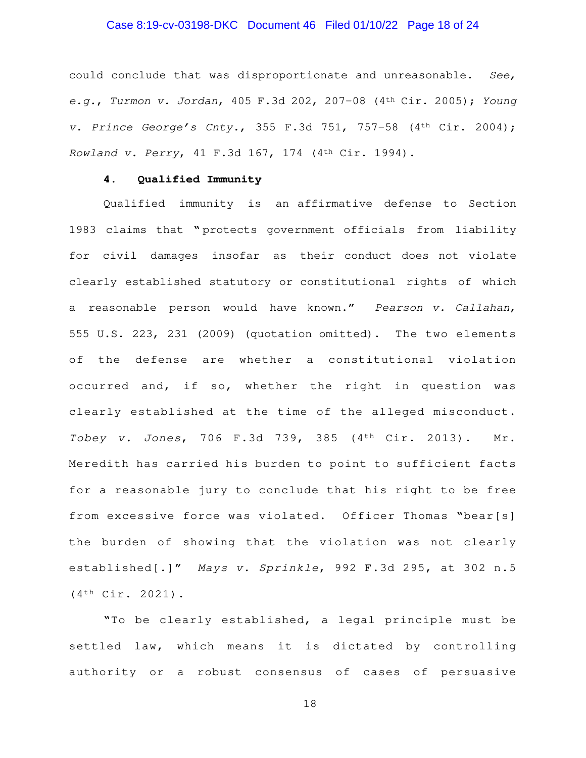## Case 8:19-cv-03198-DKC Document 46 Filed 01/10/22 Page 18 of 24

could conclude that was disproportionate and unreasonable. See, e.g., Turmon v. Jordan, 405 F.3d 202, 207-08  $(4<sup>th</sup> Cir. 2005)$ ; Young v. Prince George's Cnty., 355 F.3d 751, 757-58  $(4<sup>th</sup> Cir. 2004)$ ; Rowland v. Perry, 41 F.3d 167, 174 (4th Cir. 1994).

## **4. Qualified Immunity**

Qualified immunity is an affirmative defense to Section 1983 claims that " protects government officials from liability for civil damages insofar as their conduct does not violate clearly established statutory or constitutional rights of which a reasonable person would have known."Pearson v. Callahan, 555 U.S. 223, 231 (2009) (quotation omitted). The two elements of the defense are whether a constitutional violation occurred and, if so, whether the right in question was clearly established at the time of the alleged misconduct. Tobey v. Jones, 706 F.3d 739, 385 (4th Cir. 2013). Mr. Meredith has carried his burden to point to sufficient facts for a reasonable jury to conclude that his right to be free from excessive force was violated. Officer Thomas "bear[s] the burden of showing that the violation was not clearly established[.]" Mays v. Sprinkle, 992 F.3d 295, at 302 n.5 (4th Cir. 2021).

"To be clearly established, a legal principle must be settled law, which means it is dictated by controlling authority or a robust consensus of cases of persuasive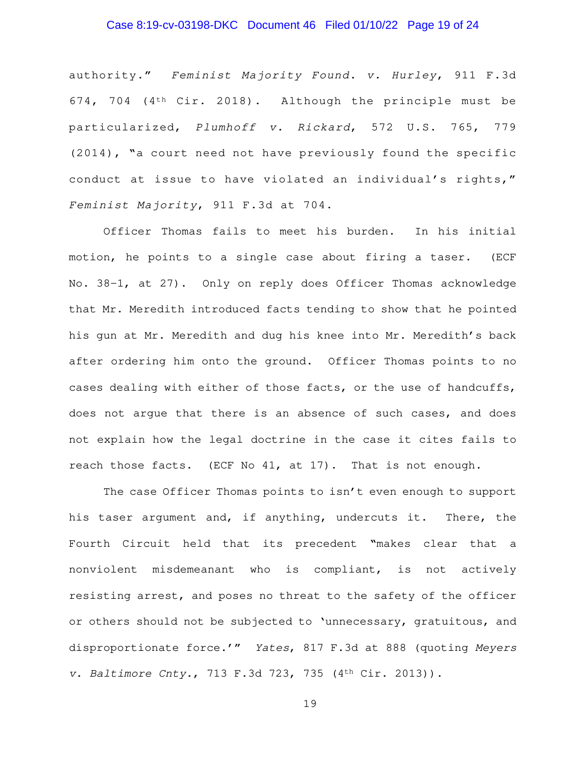## Case 8:19-cv-03198-DKC Document 46 Filed 01/10/22 Page 19 of 24

authority." Feminist Majority Found. v. Hurley, 911 F.3d 674, 704 (4th Cir. 2018). Although the principle must be particularized, Plumhoff v. Rickard, 572 U.S. 765, 779 (2014), "a court need not have previously found the specific conduct at issue to have violated an individual's rights," Feminist Majority, 911 F.3d at 704.

Officer Thomas fails to meet his burden. In his initial motion, he points to a single case about firing a taser. (ECF No. 38-1, at 27). Only on reply does Officer Thomas acknowledge that Mr. Meredith introduced facts tending to show that he pointed his gun at Mr. Meredith and dug his knee into Mr. Meredith's back after ordering him onto the ground. Officer Thomas points to no cases dealing with either of those facts, or the use of handcuffs, does not argue that there is an absence of such cases, and does not explain how the legal doctrine in the case it cites fails to reach those facts. (ECF No 41, at 17). That is not enough.

The case Officer Thomas points to isn't even enough to support his taser argument and, if anything, undercuts it. There, the Fourth Circuit held that its precedent "makes clear that a nonviolent misdemeanant who is compliant, is not actively resisting arrest, and poses no threat to the safety of the officer or others should not be subjected to 'unnecessary, gratuitous, and disproportionate force.'" Yates, 817 F.3d at 888 (quoting Meyers v. Baltimore Cnty., 713 F.3d 723, 735 (4th Cir. 2013)).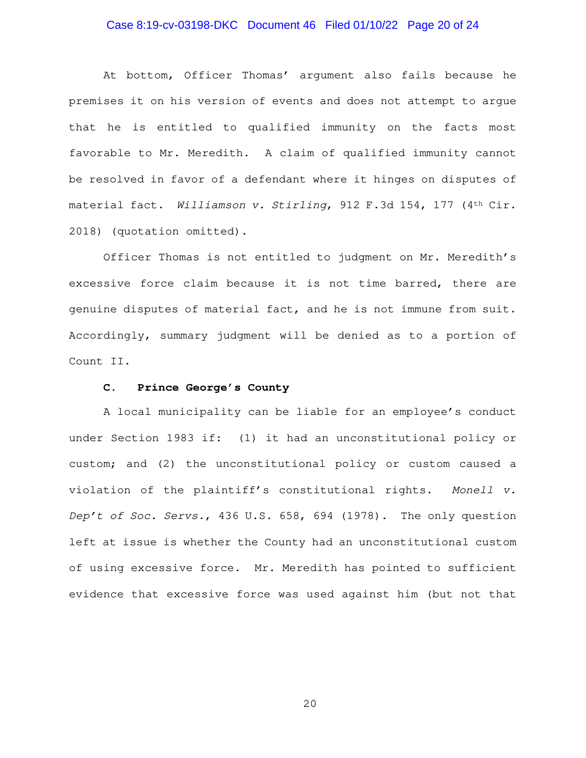## Case 8:19-cv-03198-DKC Document 46 Filed 01/10/22 Page 20 of 24

At bottom, Officer Thomas' argument also fails because he premises it on his version of events and does not attempt to argue that he is entitled to qualified immunity on the facts most favorable to Mr. Meredith. A claim of qualified immunity cannot be resolved in favor of a defendant where it hinges on disputes of material fact. Williamson v. Stirling, 912 F.3d 154, 177 (4th Cir. 2018) (quotation omitted).

Officer Thomas is not entitled to judgment on Mr. Meredith's excessive force claim because it is not time barred, there are genuine disputes of material fact, and he is not immune from suit. Accordingly, summary judgment will be denied as to a portion of Count II.

#### **C. Prince George's County**

A local municipality can be liable for an employee's conduct under Section 1983 if: (1) it had an unconstitutional policy or custom; and (2) the unconstitutional policy or custom caused a violation of the plaintiff's constitutional rights. Monell v. Dep't of Soc. Servs., 436 U.S. 658, 694 (1978). The only question left at issue is whether the County had an unconstitutional custom of using excessive force. Mr. Meredith has pointed to sufficient evidence that excessive force was used against him (but not that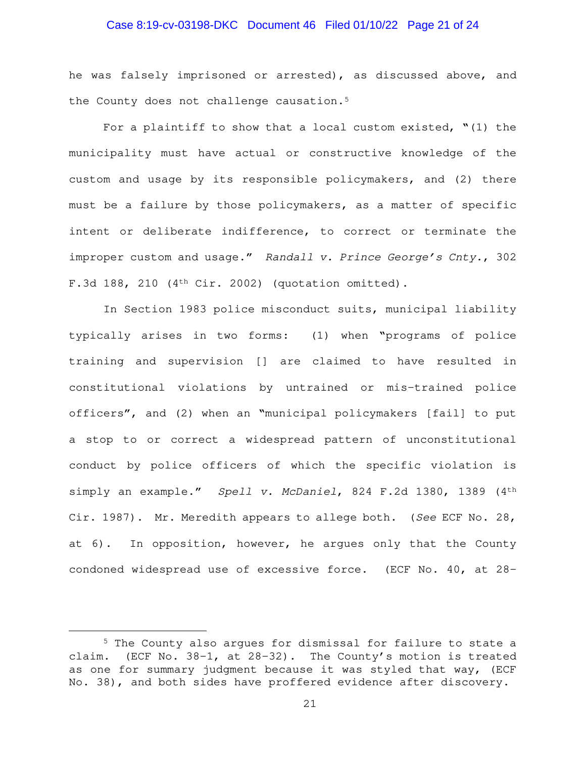## Case 8:19-cv-03198-DKC Document 46 Filed 01/10/22 Page 21 of 24

he was falsely imprisoned or arrested), as discussed above, and the County does not challenge causation.<sup>5</sup>

For a plaintiff to show that a local custom existed,  $"(1)$  the municipality must have actual or constructive knowledge of the custom and usage by its responsible policymakers, and (2) there must be a failure by those policymakers, as a matter of specific intent or deliberate indifference, to correct or terminate the improper custom and usage." Randall v. Prince George's Cnty., 302 F.3d 188, 210  $(4<sup>th</sup> Cir. 2002)$  (quotation omitted).

In Section 1983 police misconduct suits, municipal liability typically arises in two forms: (1) when "programs of police training and supervision [] are claimed to have resulted in constitutional violations by untrained or mis-trained police officers", and (2) when an "municipal policymakers [fail] to put a stop to or correct a widespread pattern of unconstitutional conduct by police officers of which the specific violation is simply an example." Spell v. McDaniel, 824 F.2d 1380, 1389 (4th Cir. 1987). Mr. Meredith appears to allege both. (See ECF No. 28, at 6). In opposition, however, he argues only that the County condoned widespread use of excessive force. (ECF No. 40, at 28-

<sup>5</sup> The County also argues for dismissal for failure to state a claim. (ECF No. 38-1, at 28-32). The County's motion is treated as one for summary judgment because it was styled that way, (ECF No. 38), and both sides have proffered evidence after discovery.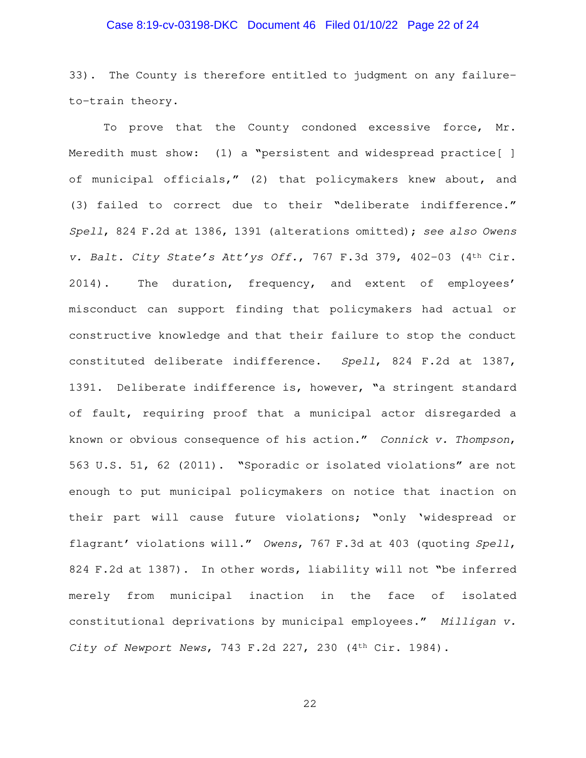## Case 8:19-cv-03198-DKC Document 46 Filed 01/10/22 Page 22 of 24

33). The County is therefore entitled to judgment on any failureto-train theory.

To prove that the County condoned excessive force, Mr. Meredith must show: (1) a "persistent and widespread practice[ ] of municipal officials," (2) that policymakers knew about, and (3) failed to correct due to their "deliberate indifference." Spell, 824 F.2d at 1386, 1391 (alterations omitted); see also Owens v. Balt. City State's Att'ys Off., 767 F.3d 379, 402-03 (4th Cir. 2014). The duration, frequency, and extent of employees' misconduct can support finding that policymakers had actual or constructive knowledge and that their failure to stop the conduct constituted deliberate indifference. Spell, 824 F.2d at 1387, 1391. Deliberate indifference is, however, "a stringent standard of fault, requiring proof that a municipal actor disregarded a known or obvious consequence of his action." Connick v. Thompson, 563 U.S. 51, 62 (2011). "Sporadic or isolated violations" are not enough to put municipal policymakers on notice that inaction on their part will cause future violations; "only 'widespread or flagrant' violations will." Owens, 767 F.3d at 403 (quoting Spell, 824 F.2d at 1387). In other words, liability will not "be inferred merely from municipal inaction in the face of isolated constitutional deprivations by municipal employees." Milligan v. City of Newport News, 743 F.2d 227, 230 (4th Cir. 1984).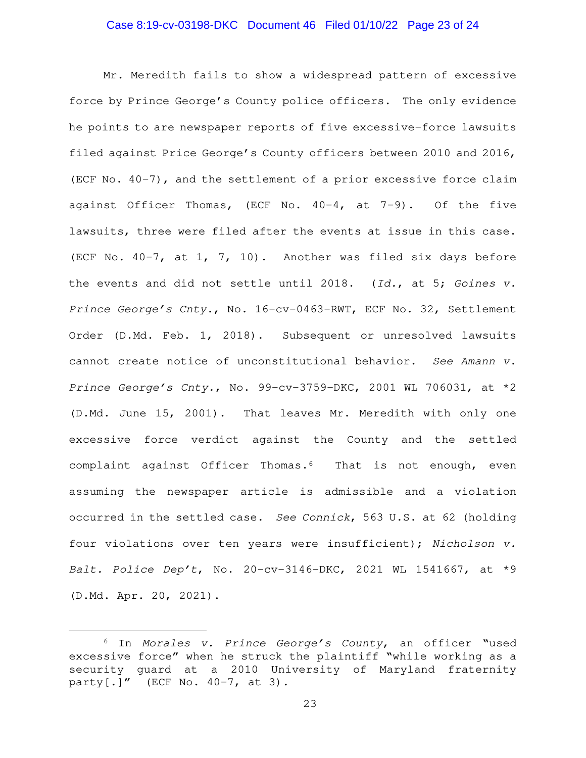## Case 8:19-cv-03198-DKC Document 46 Filed 01/10/22 Page 23 of 24

Mr. Meredith fails to show a widespread pattern of excessive force by Prince George's County police officers. The only evidence he points to are newspaper reports of five excessive-force lawsuits filed against Price George's County officers between 2010 and 2016, (ECF No. 40-7), and the settlement of a prior excessive force claim against Officer Thomas, (ECF No. 40-4, at 7-9). Of the five lawsuits, three were filed after the events at issue in this case. (ECF No. 40-7, at 1, 7, 10). Another was filed six days before the events and did not settle until 2018. (Id., at 5; Goines v. Prince George's Cnty., No. 16-cv-0463-RWT, ECF No. 32, Settlement Order (D.Md. Feb. 1, 2018). Subsequent or unresolved lawsuits cannot create notice of unconstitutional behavior. See Amann v. Prince George's Cnty., No. 99-cv-3759-DKC, 2001 WL 706031, at \*2 (D.Md. June 15, 2001). That leaves Mr. Meredith with only one excessive force verdict against the County and the settled complaint against Officer Thomas.6 That is not enough, even assuming the newspaper article is admissible and a violation occurred in the settled case. See Connick, 563 U.S. at 62 (holding four violations over ten years were insufficient); Nicholson v. Balt. Police Dep't, No. 20-cv-3146-DKC, 2021 WL 1541667, at \*9 (D.Md. Apr. 20, 2021).

<sup>&</sup>lt;sup>6</sup> In Morales v. Prince George's County, an officer "used excessive force" when he struck the plaintiff "while working as a security guard at a 2010 University of Maryland fraternity party[.]" (ECF No.  $40-7$ , at 3).